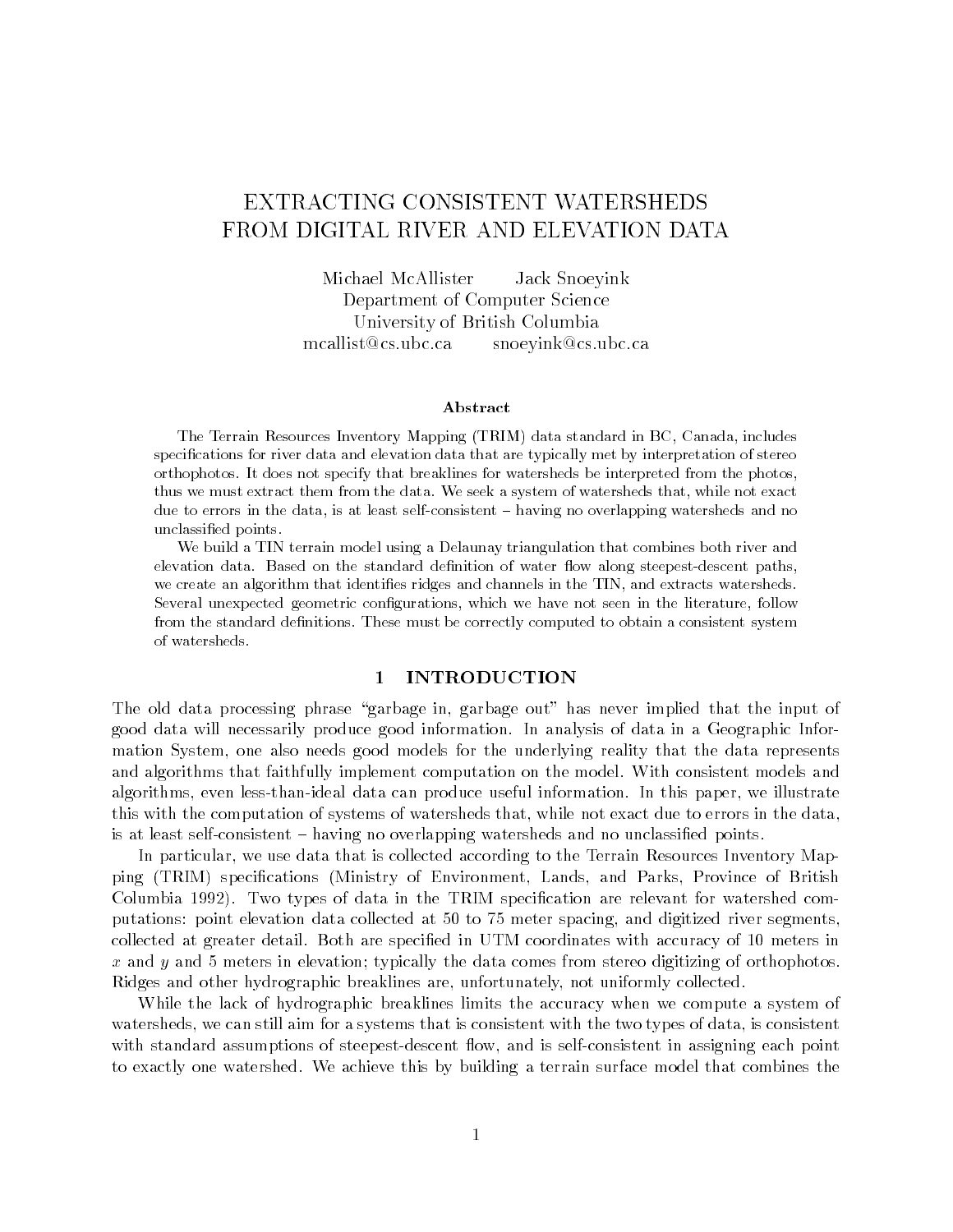# EXTRACTING CONSISTENT WATERSHEDS FROM DIGITAL RIVER AND ELEVATION DATA

Michael McAllister Jack Snoeyink Department of Computer Science University of British Columbia mcallist@cs.ubc.ca snoeyink@cs.ubc.ca

#### Abstract

The Terrain Resources Inventory Mapping (TRIM) data standard in BC, Canada, includes specifications for river data and elevation data that are typically met by interpretation of stereo orthophotos. It does not specify that breaklines for watersheds be interpreted from the photos, thus we must extract them from the data. We seek a system of watersheds that, while not exact due to errors in the data, is at least self-consistent - having no overlapping watersheds and no unclassied points.

We build a TIN terrain model using a Delaunay triangulation that combines both river and elevation data. Based on the standard definition of water flow along steepest-descent paths, we create an algorithm that identifies ridges and channels in the TIN, and extracts watersheds. Several unexpected geometric configurations, which we have not seen in the literature, follow from the standard definitions. These must be correctly computed to obtain a consistent system of watersheds.

#### 1 INTRODUCTION

The old data processing phrase "garbage in, garbage out" has never implied that the input of good data will necessarily produce good information. In analysis of data in a Geographic Information System, one also needs good models for the underlying reality that the data represents and algorithms that faithfully implement computation on the model. With consistent models and algorithms, even less-than-ideal data can produce useful information. In this paper, we illustrate this with the computation of systems of watersheds that, while not exact due to errors in the data, is at least self-consistent  $-$  having no overlapping watersheds and no unclassified points.

In particular, we use data that is collected according to the Terrain Resources Inventory Mapping (TRIM) specications (Ministry of Environment, Lands, and Parks, Province of British Columbia 1992). Two types of data in the TRIM specication are relevant for watershed computations: point elevation data collected at 50 to 75 meter spacing, and digitized river segments, collected at greater detail. Both are specied in UTM coordinates with accuracy of 10 meters in  $x$  and  $y$  and 5 meters in elevation; typically the data comes from stereo digitizing of orthophotos. Ridges and other hydrographic breaklines are, unfortunately, not uniformly collected.

While the lack of hydrographic breaklines limits the accuracy when we compute a system of watersheds, we can still aim for a systems that is consistent with the two types of data, is consistent with standard assumptions of steepest-descent flow, and is self-consistent in assigning each point to exactly one watershed. We achieve this by building a terrain surface model that combines the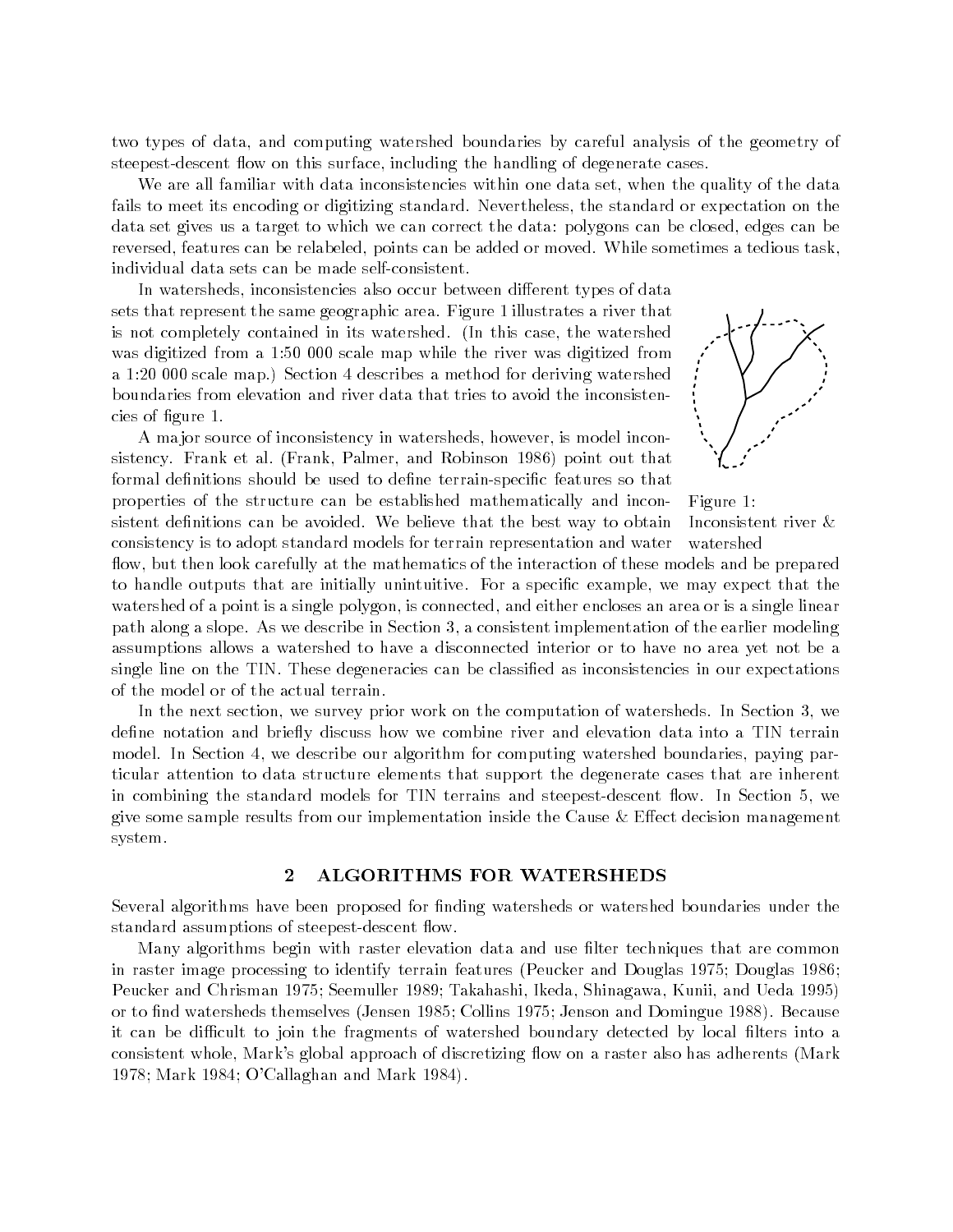two types of data, and computing watershed boundaries by careful analysis of the geometry of steepest-descent flow on this surface, including the handling of degenerate cases.

We are all familiar with data inconsistencies within one data set, when the quality of the data fails to meet its encoding or digitizing standard. Nevertheless, the standard or expectation on the data set gives us a target to which we can correct the data: polygons can be closed, edges can be reversed, features can be relabeled, points can be added or moved. While sometimes a tedious task, individual data sets can be made self-consistent.

In watersheds, inconsistencies also occur between different types of data sets that represent the same geographic area. Figure 1 illustrates a river that is not completely contained in its watershed. (In this case, the watershed was digitized from a 1:50 000 scale map while the river was digitized from a 1:20 000 scale map.) Section 4 describes a method for deriving watershed boundaries from elevation and river data that tries to avoid the inconsistencies of gure 1.

A ma jor source of inconsistency in watersheds, however, is model inconsistency. Frank et al. (Frank, Palmer, and Robinson 1986) point out that formal definitions should be used to define terrain-specific features so that properties of the structure can be established mathematically and inconsistent definitions can be avoided. We believe that the best way to obtain

consistency is to adopt standard models for terrain representation and water

Figure 1: Inconsistent river & watershed

flow, but then look carefully at the mathematics of the interaction of these models and be prepared to handle outputs that are initially unintuitive. For a specific example, we may expect that the watershed of a point is a single polygon, is connected, and either encloses an area or is a single linear path along a slope. As we describe in Section 3, a consistent implementation of the earlier modeling assumptions allows a watershed to have a disconnected interior or to have no area yet not be a single line on the TIN. These degeneracies can be classified as inconsistencies in our expectations of the model or of the actual terrain.

In the next section, we survey prior work on the computation of watersheds. In Section 3, we define notation and briefly discuss how we combine river and elevation data into a TIN terrain model. In Section 4, we describe our algorithm for computing watershed boundaries, paying particular attention to data structure elements that support the degenerate cases that are inherent in combining the standard models for TIN terrains and steepest-descent flow. In Section 5, we give some sample results from our implementation inside the Cause  $\&$  Effect decision management system.

#### 2 ALGORITHMS FOR WATERSHEDS

Several algorithms have been proposed for finding watersheds or watershed boundaries under the standard assumptions of steepest-descent flow.

Many algorithms begin with raster elevation data and use filter techniques that are common in raster image processing to identify terrain features (Peucker and Douglas 1975; Douglas 1986; Peucker and Chrisman 1975; Seemuller 1989; Takahashi, Ikeda, Shinagawa, Kunii, and Ueda 1995) or to find watersheds themselves (Jensen 1985; Collins 1975; Jenson and Domingue 1988). Because it can be difficult to join the fragments of watershed boundary detected by local filters into a consistent whole, Mark's global approach of discretizing flow on a raster also has adherents (Mark 1978; Mark 1984; O'Callaghan and Mark 1984).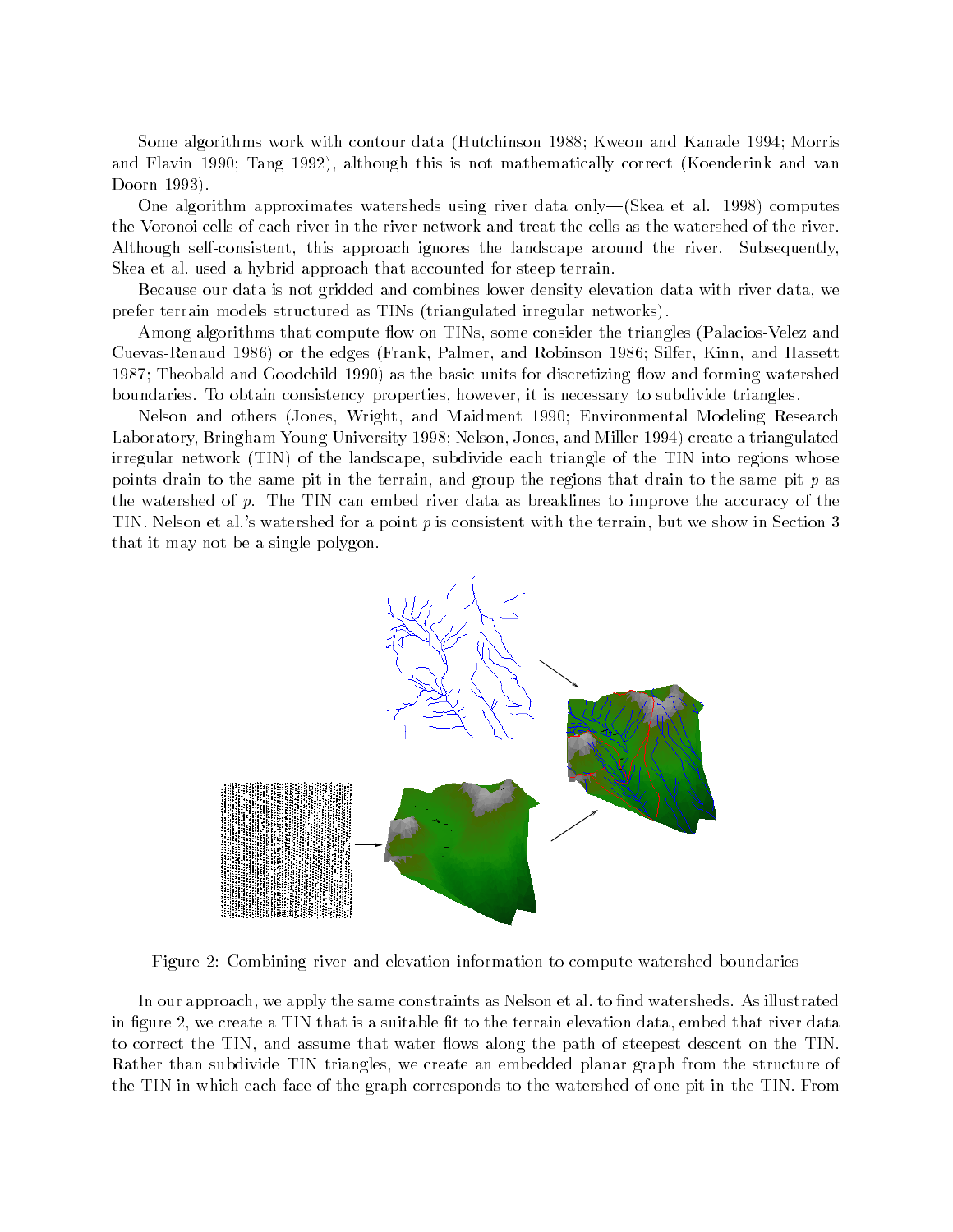Some algorithms work with contour data (Hutchinson 1988; Kweon and Kanade 1994; Morris and Flavin 1990; Tang 1992), although this is not mathematically correct (Koenderink and van Doorn 1993).

One algorithm approximates watersheds using river data only-(Skea et al. 1998) computes the Voronoi cells of each river in the river network and treat the cells as the watershed of the river. Although self-consistent, this approach ignores the landscape around the river. Subsequently, Skea et al. used a hybrid approach that accounted for steep terrain.

Because our data is not gridded and combines lower density elevation data with river data, we prefer terrain models structured as TINs (triangulated irregular networks).

Among algorithms that compute flow on TINs, some consider the triangles (Palacios-Velez and Cuevas-Renaud 1986) or the edges (Frank, Palmer, and Robinson 1986; Silfer, Kinn, and Hassett 1987; Theobald and Goodchild 1990) as the basic units for discretizing flow and forming watershed boundaries. To obtain consistency properties, however, it is necessary to subdivide triangles.

Nelson and others (Jones, Wright, and Maidment 1990; Environmental Modeling Research Laboratory, Bringham Young University 1998; Nelson, Jones, and Miller 1994) create a triangulated irregular network (TIN) of the landscape, subdivide each triangle of the TIN into regions whose points drain to the same pit in the terrain, and group the regions that drain to the same pit  $p$  as the watershed of  $p$ . The TIN can embed river data as breaklines to improve the accuracy of the TIN. Nelson et al.'s watershed for a point <sup>p</sup> is consistent with the terrain, but we show in Section 3 that it may not be a single polygon.



Figure 2: Combining river and elevation information to compute watershed boundaries

In our approach, we apply the same constraints as Nelson et al. to find watersheds. As illustrated in figure 2, we create a TIN that is a suitable fit to the terrain elevation data, embed that river data to correct the TIN, and assume that water flows along the path of steepest descent on the TIN. Rather than subdivide TIN triangles, we create an embedded planar graph from the structure of the TIN in which each face of the graph corresponds to the watershed of one pit in the TIN. From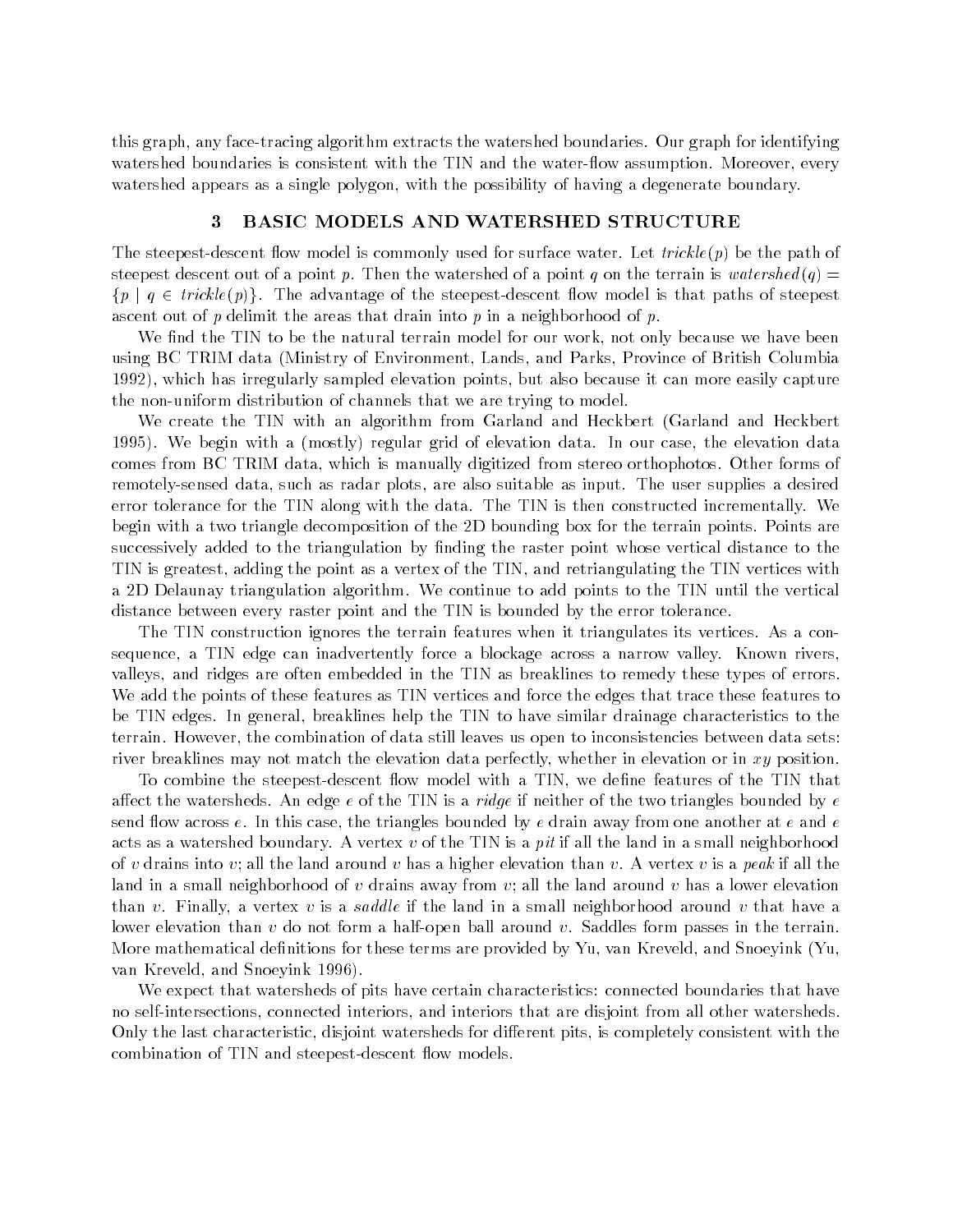this graph, any face-tracing algorithm extracts the watershed boundaries. Our graph for identifying watershed boundaries is consistent with the TIN and the water-flow assumption. Moreover, every watershed appears as a single polygon, with the possibility of having a degenerate boundary.

#### 3 BASIC MODELS AND WATERSHED STRUCTURE

The steepest-descent flow model is commonly used for surface water. Let *trickle(p)* be the path of steepest descent out of a point p. Then the watershed of a point q on the terrain is watershed  $(q)$  =  $\{p \mid q \in trickle(p)\}\.$  The advantage of the steepest-descent flow model is that paths of steepest ascent out of p delimit the areas that drain into p in a neighborhood of p.

We find the TIN to be the natural terrain model for our work, not only because we have been using BC TRIM data (Ministry of Environment, Lands, and Parks, Province of British Columbia 1992), which has irregularly sampled elevation points, but also because it can more easily capture the non-uniform distribution of channels that we are trying to model.

We create the TIN with an algorithm from Garland and Heckbert (Garland and Heckbert 1995). We begin with a (mostly) regular grid of elevation data. In our case, the elevation data comes from BC TRIM data, which is manually digitized from stereo orthophotos. Other forms of remotely-sensed data, such as radar plots, are also suitable as input. The user supplies a desired error tolerance for the TIN along with the data. The TIN is then constructed incrementally. We begin with a two triangle decomposition of the 2D bounding box for the terrain points. Points are successively added to the triangulation by finding the raster point whose vertical distance to the TIN is greatest, adding the point as a vertex of the TIN, and retriangulating the TIN vertices with a 2D Delaunay triangulation algorithm. We continue to add points to the TIN until the vertical distance between every raster point and the TIN is bounded by the error tolerance.

The TIN construction ignores the terrain features when it triangulates its vertices. As a consequence, a TIN edge can inadvertently force a blockage across a narrow valley. Known rivers, valleys, and ridges are often embedded in the TIN as breaklines to remedy these types of errors. We add the points of these features as TIN vertices and force the edges that trace these features to be TIN edges. In general, breaklines help the TIN to have similar drainage characteristics to the terrain. However, the combination of data still leaves us open to inconsistencies between data sets: river breaklines may not match the elevation data perfectly, whether in elevation or in xy position.

To combine the steepest-descent flow model with a TIN, we define features of the TIN that affect the watersheds. An edge e of the TIN is a *ridge* if neither of the two triangles bounded by e send flow across  $e$ . In this case, the triangles bounded by  $e$  drain away from one another at  $e$  and  $e$ acts as a watershed boundary. A vertex  $v$  of the TIN is a *pit* if all the land in a small neighborhood of v drains into v; all the land around v has a higher elevation than v. A vertex v is a peak if all the land in a small neighborhood of v drains away from v; all the land around v has a lower elevation than v. Finally, a vertex v is a *saddle* if the land in a small neighborhood around v that have a lower elevation than <sup>v</sup> do not form a half-open ball around v. Saddles form passes in the terrain. More mathematical definitions for these terms are provided by Yu, van Kreveld, and Snoeyink (Yu, van Kreveld, and Snoeyink 1996).

We expect that watersheds of pits have certain characteristics: connected boundaries that have no self-intersections, connected interiors, and interiors that are disjoint from all other watersheds. Only the last characteristic, disjoint watersheds for different pits, is completely consistent with the combination of TIN and steepest-descent flow models.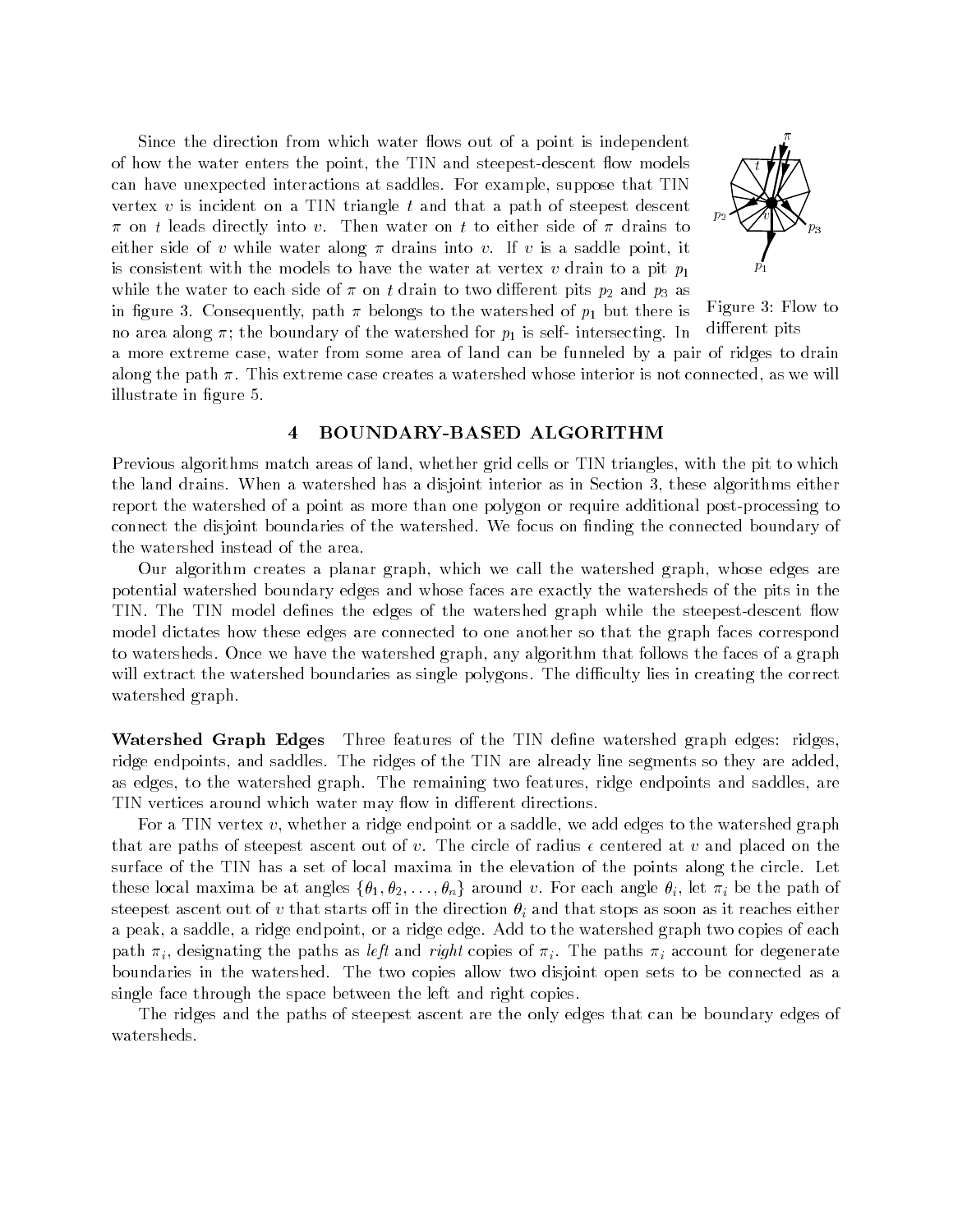Since the direction from which water flows out of a point is independent of how the water enters the point, the TIN and steepest-descent flow models can have unexpected interactions at saddles. For example, suppose that TIN vertex  $v$  is incident on a TIN triangle  $t$  and that a path of steepest descent  $\pi$  on t leads directly into v. Then water on t to either side of  $\pi$  drains to either side of v while water along  $\pi$  drains into v. If v is a saddle point, it is consistent with the models to have the water at vertex v drain to a pit  $p_1$ while the water to each side of  $\pi$  on t drain to two different pits  $p_2$  and  $p_3$  as in figure 3. Consequently, path  $\pi$  belongs to the watershed of  $p_1$  but there is no area along  $\pi$ ; the boundary of the watershed for  $p_1$  is self- intersecting. In



Figure 3: Flow to different pits

a more extreme case, water from some area of land can be funneled by a pair of ridges to drain along the path  $\pi$ . This extreme case creates a watershed whose interior is not connected, as we will illustrate in figure 5.

#### 4 BOUNDARY-BASED ALGORITHM

Previous algorithms match areas of land, whether grid cells or TIN triangles, with the pit to which the land drains. When a watershed has a disjoint interior as in Section 3, these algorithms either report the watershed of a point as more than one polygon or require additional post-processing to connect the disjoint boundaries of the watershed. We focus on finding the connected boundary of the watershed instead of the area.

Our algorithm creates a planar graph, which we call the watershed graph, whose edges are potential watershed boundary edges and whose faces are exactly the watersheds of the pits in the TIN. The TIN model defines the edges of the watershed graph while the steepest-descent flow model dictates how these edges are connected to one another so that the graph faces correspond to watersheds. Once we have the watershed graph, any algorithm that follows the faces of a graph will extract the watershed boundaries as single polygons. The difficulty lies in creating the correct watershed graph.

Watershed Graph Edges Three features of the TIN define watershed graph edges: ridges. ridge endpoints, and saddles. The ridges of the TIN are already line segments so they are added, as edges, to the watershed graph. The remaining two features, ridge endpoints and saddles, are TIN vertices around which water may flow in different directions.

For a TIN vertex  $v$ , whether a ridge endpoint or a saddle, we add edges to the watershed graph that are paths of steepest ascent out of v. The circle of radius  $\epsilon$  centered at v and placed on the surface of the TIN has a set of local maxima in the elevation of the points along the circle. Let these local maxima be at angles  $\{\theta_1, \theta_2, \ldots, \theta_n\}$  around v. For each angle  $\theta_i$ , let  $\pi_i$  be the path of steepest ascent out of v that starts off in the direction  $\theta_i$  and that stops as soon as it reaches either a peak, a saddle, a ridge endpoint, or a ridge edge. Add to the watershed graph two copies of each path  $\pi_i$ , designating the paths as *left* and *right* copies of  $\pi_i$ . The paths  $\pi_i$  account for degenerate boundaries in the watershed. The two copies allow two disjoint open sets to be connected as a single face through the space between the left and right copies.

The ridges and the paths of steepest ascent are the only edges that can be boundary edges of watersheds.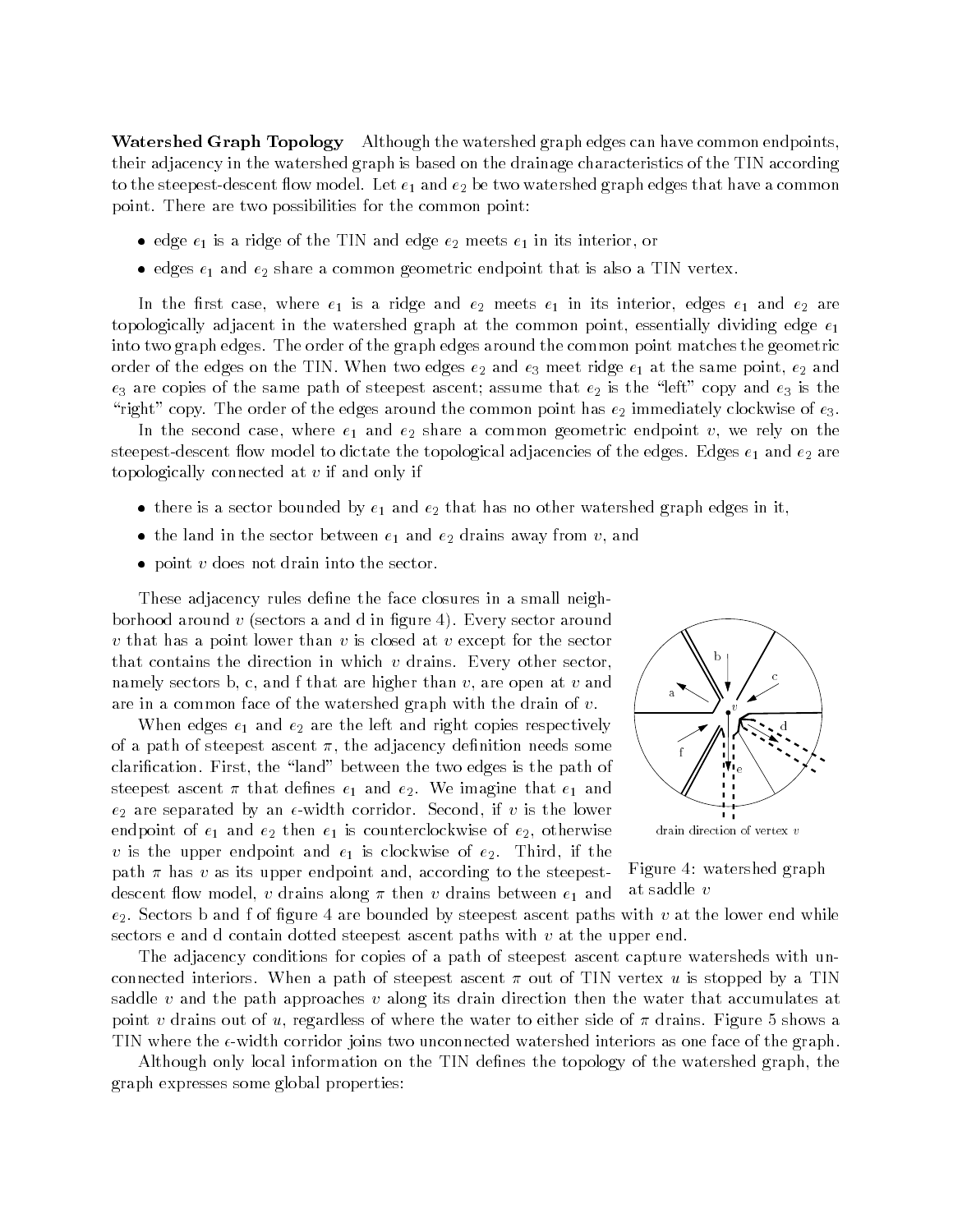Watershed Graph Topology Although the watershed graph edges can have common endpoints, their adjacency in the watershed graph is based on the drainage characteristics of the TIN according to the steepest-descent flow model. Let  $e_1$  and  $e_2$  be two watershed graph edges that have a common point. There are two possibilities for the common point:

- $\bullet$  edge  $e_1$  is a ridge of the TIN and edge  $e_2$  meets  $e_1$  in its interior, or
- $\bullet$  edges  $e_1$  and  $e_2$  share a common geometric endpoint that is also a TIN vertex.

In the first case, where  $e_1$  is a ridge and  $e_2$  meets  $e_1$  in its interior, edges  $e_1$  and  $e_2$  are topologically adjacent in the watershed graph at the common point, essentially dividing edge  $e_1$ into two graph edges. The order of the graph edges around the common point matches the geometric order of the edges on the TIN. When two edges  $e_2$  and  $e_3$  meet ridge  $e_1$  at the same point,  $e_2$  and  $e_3$  are copies of the same path of steepest ascent; assume that  $e_2$  is the "left" copy and  $e_3$  is the "right" copy. The order of the edges around the common point has  $e_2$  immediately clockwise of  $e_3$ .

In the second case, where  $e_1$  and  $e_2$  share a common geometric endpoint  $v$ , we rely on the steepest-descent flow model to dictate the topological adjacencies of the edges. Edges  $e_1$  and  $e_2$  are topologically connected at <sup>v</sup> if and only if

- $\bullet$  there is a sector bounded by  $e_1$  and  $e_2$  that has no other watershed graph edges in it,
- $\bullet\,$  the land in the sector between  $e_1$  and  $e_2$  drains away from  $v,$  and
- $\bullet$  point  $v$  does not drain into the sector.

These adjacency rules define the face closures in a small neighborhood around  $v$  (sectors a and d in figure 4). Every sector around v that has a point lower than v is closed at v except for the sector that contains the direction in which  $v$  drains. Every other sector, namely sectors b, c, and f that are higher than  $v$ , are open at  $v$  and are in a common face of the watershed graph with the drain of v.

When edges  $e_1$  and  $e_2$  are the left and right copies respectively of a path of steepest ascent  $\pi$ , the adjacency definition needs some clarification. First, the "land" between the two edges is the path of steepest ascent  $\pi$  that defines  $e_1$  and  $e_2$ . We imagine that  $e_1$  and  $e_2$  are separated by an  $\epsilon$ -width corridor. Second, if v is the lower endpoint of  $e_1$  and  $e_2$  then  $e_1$  is counterclockwise of  $e_2$ , otherwise v is the upper endpoint and  $e_1$  is clockwise of  $e_2$ . Third, if the path  $\pi$  has v as its upper endpoint and, according to the steepestdescent flow model, v drains along  $\pi$  then v drains between  $e_1$  and



#### Figure 4: watershed graph at saddle <sup>v</sup>

 $e_2$ . Sectors b and f of figure 4 are bounded by steepest ascent paths with v at the lower end while sectors e and d contain dotted steepest ascent paths with  $v$  at the upper end.

The adjacency conditions for copies of a path of steepest ascent capture watersheds with unconnected interiors. When a path of steepest ascent  $\pi$  out of TIN vertex u is stopped by a TIN saddle  $v$  and the path approaches  $v$  along its drain direction then the water that accumulates at point v drains out of u, regardless of where the water to either side of  $\pi$  drains. Figure 5 shows a TIN where the  $\epsilon$ -width corridor joins two unconnected watershed interiors as one face of the graph.

Although only local information on the TIN denes the topology of the watershed graph, the graph expresses some global properties: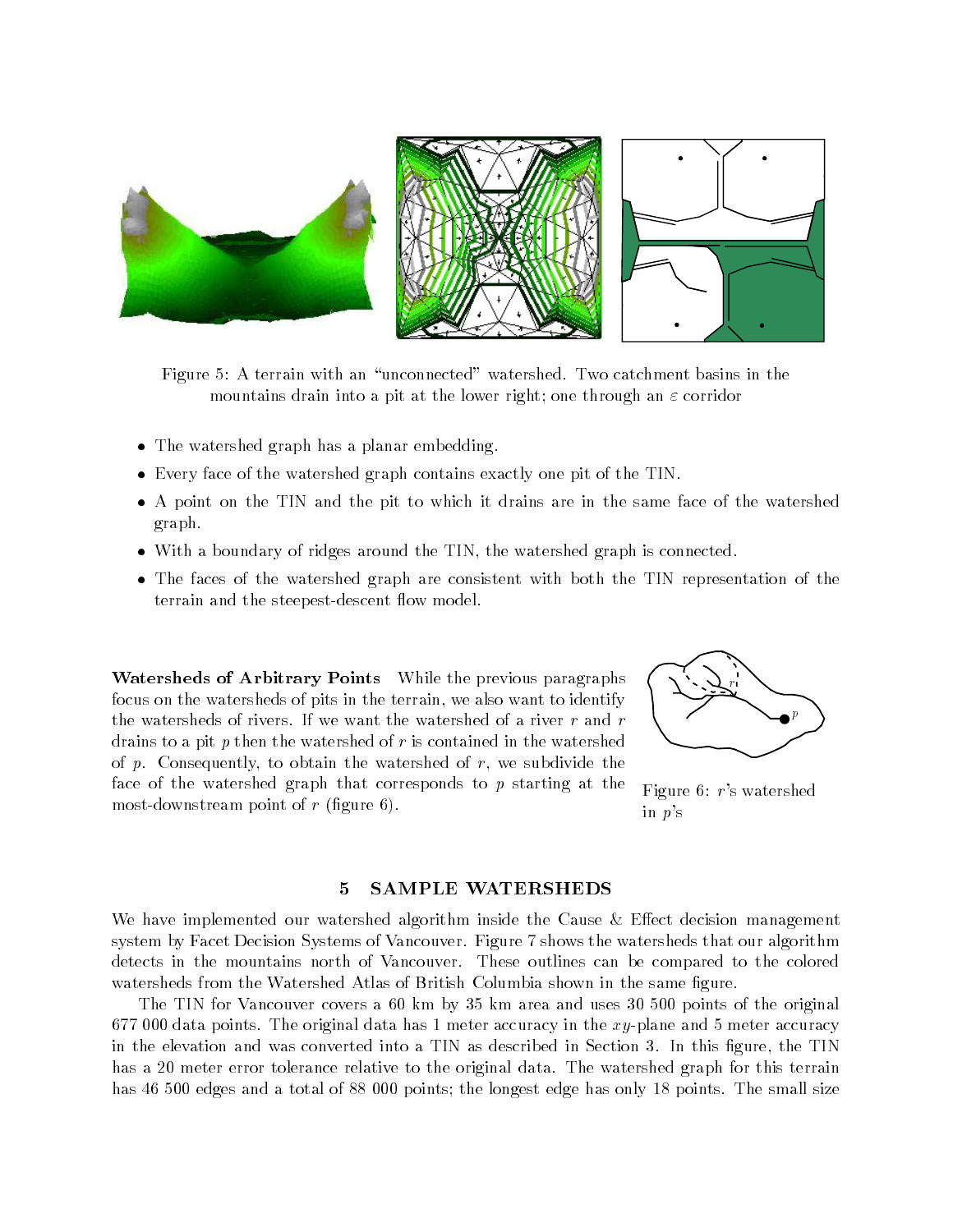

Figure 5: A terrain with an \unconnected" watershed. Two catchment basins in the mountains drain into a pit at the lower right; one through an  $\varepsilon$  corridor

- $\bullet$  lne watershed graph has a planar embedding.
- $\bullet$  Every face of the watershed graph contains exactly one pit of the TIN.
- $\bullet$  A point on the TIN and the pit to which it drains are in the same face of the watershed  $\phantom{1}$ graph.
- With a boundary of ridges around the TIN, the watershed graph is connected.
- $\bullet$  lne faces of the watershed graph are consistent with both the TIN representation of the  $\blacksquare$ terrain and the steepest-descent flow model.

Watersheds of Arbitrary Points While the previous paragraphs focus on the watersheds of pits in the terrain, we also want to identify the watersheds of rivers. If we want the watershed of a river  $r$  and  $r$ drains to a pit  $p$  then the watershed of  $r$  is contained in the watershed of  $p$ . Consequently, to obtain the watershed of  $r$ , we subdivide the face of the watershed graph that corresponds to <sup>p</sup> starting at the most-downstream point of  $r$  (figure 6).



Figure 6: <sup>r</sup>'s watershed in <sup>p</sup>'s

#### 5 SAMPLE WATERSHEDS

We have implemented our watershed algorithm inside the Cause  $\&$  Effect decision management system by Facet Decision Systems of Vancouver. Figure 7 shows the watersheds that our algorithm detects in the mountains north of Vancouver. These outlines can be compared to the colored watersheds from the Watershed Atlas of British Columbia shown in the same figure.

The TIN for Vancouver covers a 60 km by 35 km area and uses 30 500 points of the original 677 000 data points. The original data has 1 meter accuracy in the  $xy$ -plane and 5 meter accuracy in the elevation and was converted into a TIN as described in Section 3. In this figure, the TIN has a 20 meter error tolerance relative to the original data. The watershed graph for this terrain has 46 500 edges and a total of 88 000 points; the longest edge has only 18 points. The small size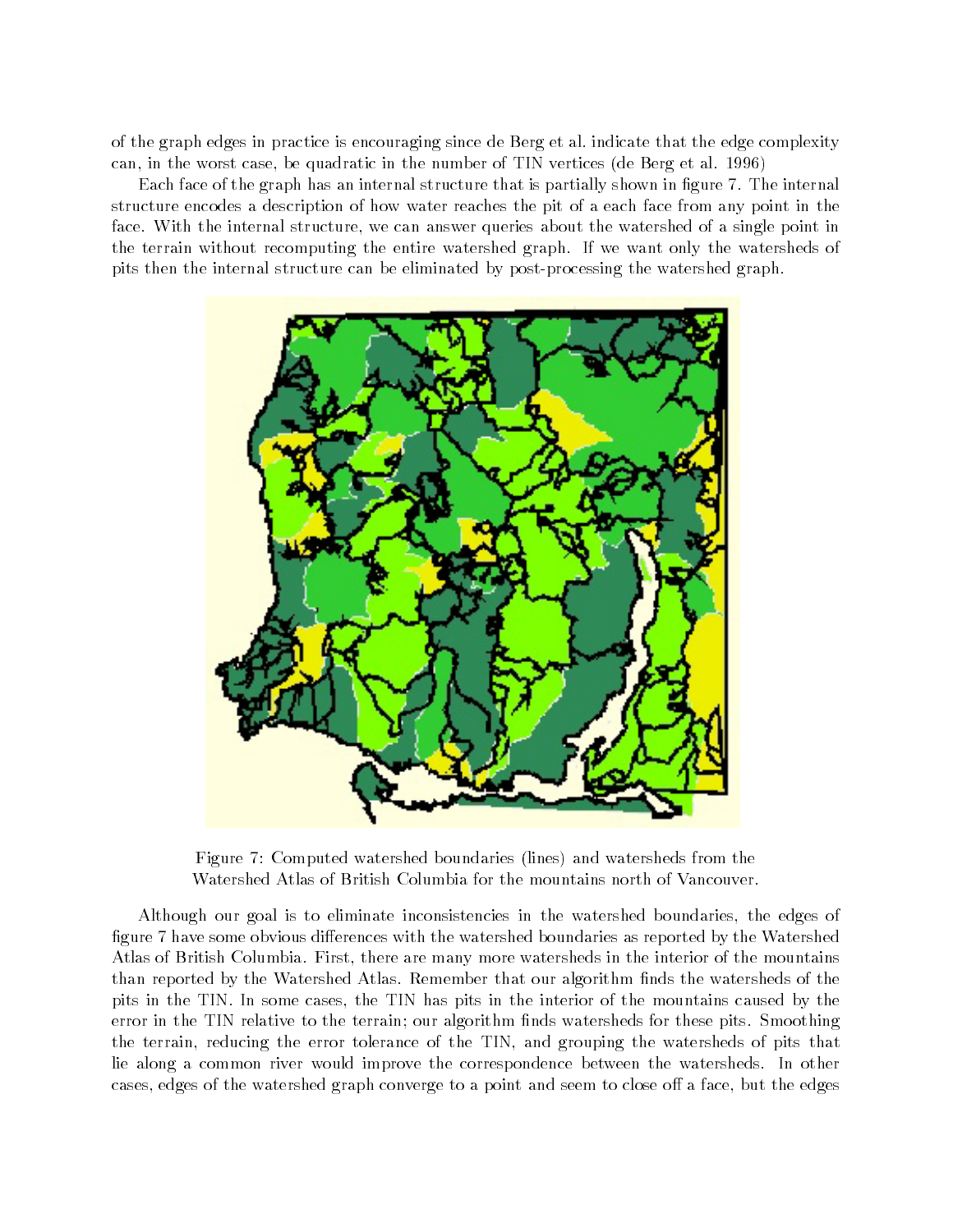of the graph edges in practice is encouraging since de Berg et al. indicate that the edge complexity can, in the worst case, be quadratic in the number of TIN vertices (de Berg et al. 1996)

Each face of the graph has an internal structure that is partially shown in figure 7. The internal structure encodes a description of how water reaches the pit of a each face from any point in the face. With the internal structure, we can answer queries about the watershed of a single point in the terrain without recomputing the entire watershed graph. If we want only the watersheds of pits then the internal structure can be eliminated by post-processing the watershed graph.



Figure 7: Computed watershed boundaries (lines) and watersheds from the Watershed Atlas of British Columbia for the mountains north of Vancouver.

Although our goal is to eliminate inconsistencies in the watershed boundaries, the edges of figure 7 have some obvious differences with the watershed boundaries as reported by the Watershed Atlas of British Columbia. First, there are many more watersheds in the interior of the mountains than reported by the Watershed Atlas. Remember that our algorithm finds the watersheds of the pits in the TIN. In some cases, the TIN has pits in the interior of the mountains caused by the error in the TIN relative to the terrain; our algorithm nds watersheds for these pits. Smoothing the terrain, reducing the error tolerance of the TIN, and grouping the watersheds of pits that lie along a common river would improve the correspondence between the watersheds. In other cases, edges of the watershed graph converge to a point and seem to close off a face, but the edges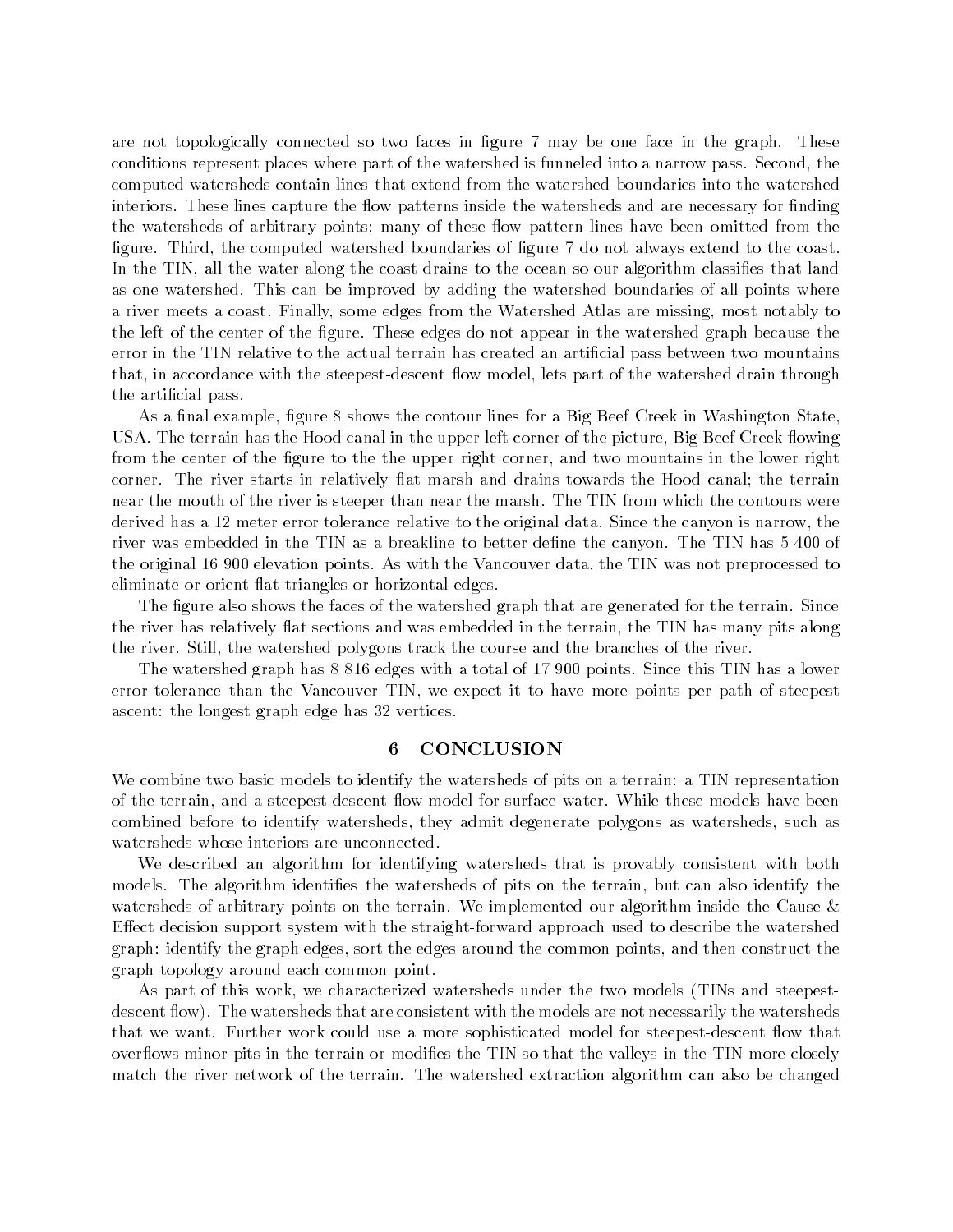are not topologically connected so two faces in figure 7 may be one face in the graph. These conditions represent places where part of the watershed is funneled into a narrow pass. Second, the computed watersheds contain lines that extend from the watershed boundaries into the watershed interiors. These lines capture the flow patterns inside the watersheds and are necessary for finding the watersheds of arbitrary points; many of these flow pattern lines have been omitted from the figure. Third, the computed watershed boundaries of figure 7 do not always extend to the coast. In the TIN, all the water along the coast drains to the ocean so our algorithm classifies that land as one watershed. This can be improved by adding the watershed boundaries of all points where a river meets a coast. Finally, some edges from the Watershed Atlas are missing, most notably to the left of the center of the figure. These edges do not appear in the watershed graph because the error in the TIN relative to the actual terrain has created an articial pass between two mountains that, in accordance with the steepest-descent flow model, lets part of the watershed drain through the articial pass.

As a final example, figure 8 shows the contour lines for a Big Beef Creek in Washington State. USA. The terrain has the Hood canal in the upper left corner of the picture, Big Beef Creek flowing from the center of the figure to the the upper right corner, and two mountains in the lower right corner. The river starts in relatively flat marsh and drains towards the Hood canal; the terrain near the mouth of the river is steeper than near the marsh. The TIN from which the contours were derived has a 12 meter error tolerance relative to the original data. Since the canyon is narrow, the river was embedded in the TIN as a breakline to better define the canyon. The TIN has 5 400 of the original 16 900 elevation points. As with the Vancouver data, the TIN was not preprocessed to eliminate or orient flat triangles or horizontal edges.

The figure also shows the faces of the watershed graph that are generated for the terrain. Since the river has relatively flat sections and was embedded in the terrain, the TIN has many pits along the river. Still, the watershed polygons track the course and the branches of the river.

The watershed graph has 8 816 edges with a total of 17 900 points. Since this TIN has a lower error tolerance than the Vancouver TIN, we expect it to have more points per path of steepest ascent: the longest graph edge has 32 vertices.

#### 6 CONCLUSION

We combine two basic models to identify the watersheds of pits on a terrain: a TIN representation of the terrain, and a steepest-descent flow model for surface water. While these models have been combined before to identify watersheds, they admit degenerate polygons as watersheds, such as watersheds whose interiors are unconnected.

We described an algorithm for identifying watersheds that is provably consistent with both models. The algorithm identifies the watersheds of pits on the terrain, but can also identify the watersheds of arbitrary points on the terrain. We implemented our algorithm inside the Cause & Effect decision support system with the straight-forward approach used to describe the watershed graph: identify the graph edges, sort the edges around the common points, and then construct the graph topology around each common point.

As part of this work, we characterized watersheds under the two models (TINs and steepestdescent flow). The watersheds that are consistent with the models are not necessarily the watersheds that we want. Further work could use a more sophisticated model for steepest-descent flow that overflows minor pits in the terrain or modifies the TIN so that the valleys in the TIN more closely match the river network of the terrain. The watershed extraction algorithm can also be changed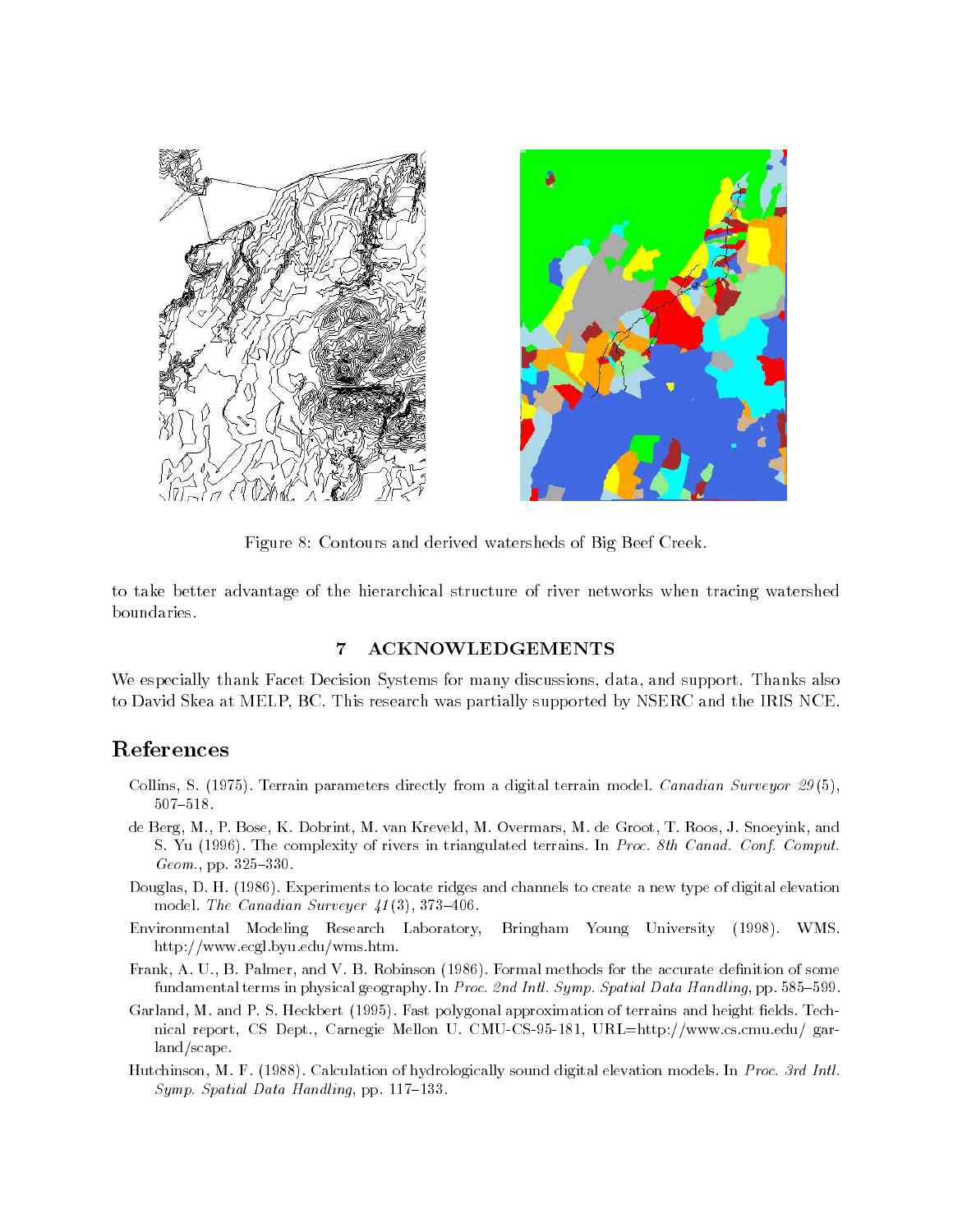



Figure 8: Contours and derived watersheds of Big Beef Creek.

to take better advantage of the hierarchical structure of river networks when tracing watershed boundaries.

### 7 ACKNOWLEDGEMENTS

We especially thank Facet Decision Systems for many discussions, data, and support. Thanks also to David Skea at MELP, BC. This research was partially supported by NSERC and the IRIS NCE.

## References

- Collins, S. (1975). Terrain parameters directly from a digital terrain model. Canadian Surveyor 29(5), 507-518.
- de Berg, M., P. Bose, K. Dobrint, M. van Kreveld, M. Overmars, M. de Groot, T. Roos, J. Snoeyink, and S. Yu (1996). The complexity of rivers in triangulated terrains. In Proc. 8th Canad. Conf. Comput.  $Geom.$ , pp.  $325-330$ .
- Douglas, D. H. (1986). Experiments to locate ridges and channels to create a new type of digital elevation model. The Canadian Surveyer  $41(3)$ , 373-406.
- Environmental Modeling Research Laboratory, Bringham Young University (1998). WMS. http://www.ecgl.byu.edu/wms.htm.
- Frank, A. U., B. Palmer, and V. B. Robinson (1986). Formal methods for the accurate definition of some fundamental terms in physical geography. In Proc. 2nd Intl. Symp. Spatial Data Handling, pp. 585-599.
- Garland, M. and P. S. Heckbert (1995). Fast polygonal approximation of terrains and height fields. Technical report, CS Dept., Carnegie Mellon U. CMU-CS-95-181, URL=http://www.cs.cmu.edu/ garland/scape.
- Hutchinson, M. F. (1988). Calculation of hydrologically sound digital elevation models. In Proc. 3rd Intl.  $Symp.$  Spatial Data Handling, pp. 117-133.